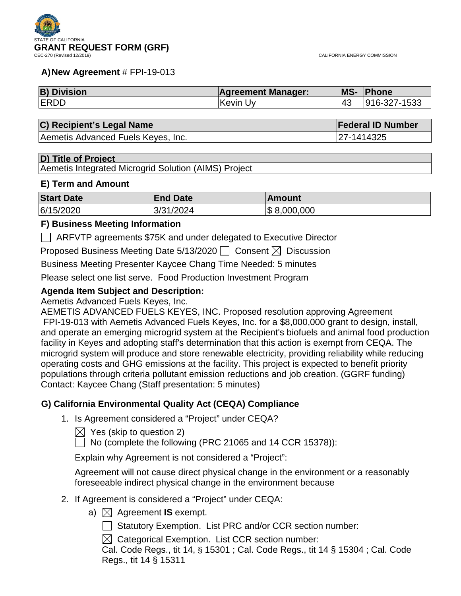

#### **A)New Agreement** # FPI-19-013

| <b>B) Division</b> | <b>Agreement Manager:</b> | <b>MS-</b> | Phone        |
|--------------------|---------------------------|------------|--------------|
| <b>ERDD</b>        | ∣Kevin Uv                 |            | 916-327-1533 |

#### **C) Recipient's Legal Name Federal ID Number**

Aemetis Advanced Fuels Keyes, Inc. 27-1414325

#### **D) Title of Project**

Aemetis Integrated Microgrid Solution (AIMS) Project

#### **E) Term and Amount**

| <b>Start Date</b> | <b>End Date</b> | <b>Amount</b>   |
|-------------------|-----------------|-----------------|
| 6/15/2020         | 3/31/2024       | $\$\,8,000,000$ |

#### **F) Business Meeting Information**

ARFVTP agreements \$75K and under delegated to Executive Director

Proposed Business Meeting Date 5/13/2020  $\Box$  Consent  $\boxtimes$  Discussion

Business Meeting Presenter Kaycee Chang Time Needed: 5 minutes

Please select one list serve. Food Production Investment Program

#### **Agenda Item Subject and Description:**

Aemetis Advanced Fuels Keyes, Inc.

AEMETIS ADVANCED FUELS KEYES, INC. Proposed resolution approving Agreement FPI-19-013 with Aemetis Advanced Fuels Keyes, Inc. for a \$8,000,000 grant to design, install, and operate an emerging microgrid system at the Recipient's biofuels and animal food production facility in Keyes and adopting staff's determination that this action is exempt from CEQA. The microgrid system will produce and store renewable electricity, providing reliability while reducing operating costs and GHG emissions at the facility. This project is expected to benefit priority populations through criteria pollutant emission reductions and job creation. (GGRF funding) Contact: Kaycee Chang (Staff presentation: 5 minutes)

#### **G) California Environmental Quality Act (CEQA) Compliance**

1. Is Agreement considered a "Project" under CEQA?

 $\boxtimes$  Yes (skip to question 2)

No (complete the following (PRC 21065 and 14 CCR 15378)):

Explain why Agreement is not considered a "Project":

Agreement will not cause direct physical change in the environment or a reasonably foreseeable indirect physical change in the environment because

- 2. If Agreement is considered a "Project" under CEQA:
	- a)  $\boxtimes$  Agreement **IS** exempt.

 $\Box$  Statutory Exemption. List PRC and/or CCR section number:

 $\boxtimes$  Categorical Exemption. List CCR section number:

Cal. Code Regs., tit 14, § 15301 ; Cal. Code Regs., tit 14 § 15304 ; Cal. Code Regs., tit 14 § 15311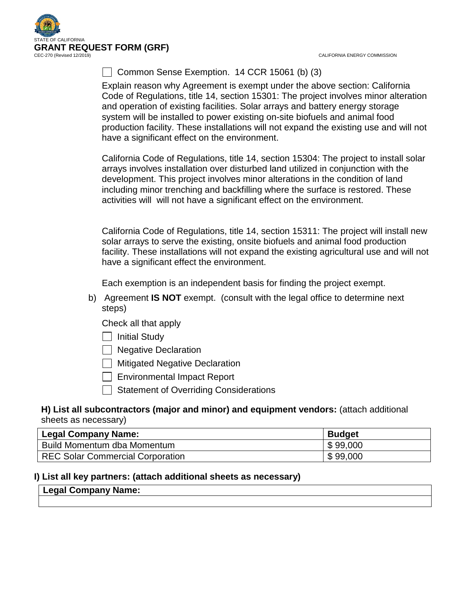

CALIFORNIA ENERGY COMMISSION

# Common Sense Exemption. 14 CCR 15061 (b) (3)

Explain reason why Agreement is exempt under the above section: California Code of Regulations, title 14, section 15301: The project involves minor alteration and operation of existing facilities. Solar arrays and battery energy storage system will be installed to power existing on-site biofuels and animal food production facility. These installations will not expand the existing use and will not have a significant effect on the environment.

California Code of Regulations, title 14, section 15304: The project to install solar arrays involves installation over disturbed land utilized in conjunction with the development. This project involves minor alterations in the condition of land including minor trenching and backfilling where the surface is restored. These activities will will not have a significant effect on the environment.

California Code of Regulations, title 14, section 15311: The project will install new solar arrays to serve the existing, onsite biofuels and animal food production facility. These installations will not expand the existing agricultural use and will not have a significant effect the environment.

Each exemption is an independent basis for finding the project exempt.

b) Agreement **IS NOT** exempt. (consult with the legal office to determine next steps)

Check all that apply

 $\Box$  Initial Study

 $\Box$  Negative Declaration

**Mitigated Negative Declaration** 

Environmental Impact Report

 $\Box$  Statement of Overriding Considerations

#### **H) List all subcontractors (major and minor) and equipment vendors:** (attach additional sheets as necessary)

| , Legal Company Name:                   | <b>Budget</b> |
|-----------------------------------------|---------------|
| Build Momentum dba Momentum             | \$99,000      |
| <b>REC Solar Commercial Corporation</b> | \$99,000      |

# **I) List all key partners: (attach additional sheets as necessary)**

#### **Legal Company Name:**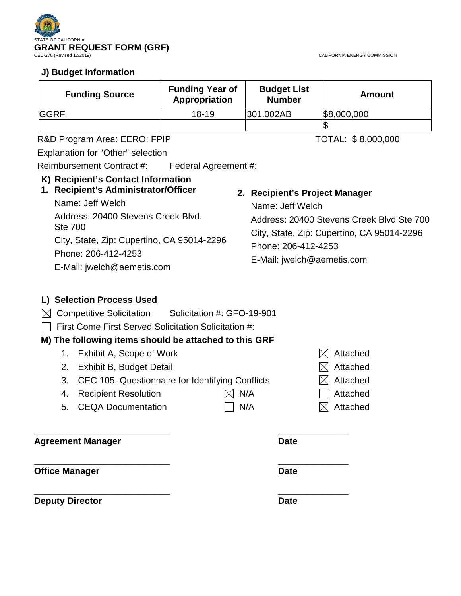

CALIFORNIA ENERGY COMMISSION

# **J) Budget Information**

| <b>Funding Source</b> | <b>Funding Year of</b><br>Appropriation | <b>Budget List</b><br><b>Number</b> | <b>Amount</b> |
|-----------------------|-----------------------------------------|-------------------------------------|---------------|
| <b>IGGRF</b>          | $18 - 19$                               | 301.002AB                           | \$8,000,000   |
|                       |                                         |                                     |               |

R&D Program Area: EERO: FPIP TOTAL: \$8,000,000

Explanation for "Other" selection

Reimbursement Contract #: Federal Agreement #:

# **K) Recipient's Contact Information**

# **1. Recipient's Administrator/Officer**

Name: Jeff Welch Address: 20400 Stevens Creek Blvd. Ste 700 City, State, Zip: Cupertino, CA 95014-2296 Phone: 206-412-4253 E-Mail: jwelch@aemetis.com

# **2. Recipient's Project Manager**

Name: Jeff Welch Address: 20400 Stevens Creek Blvd Ste 700 City, State, Zip: Cupertino, CA 95014-2296 Phone: 206-412-4253 E-Mail: jwelch@aemetis.com

# **L) Selection Process Used**

 $\bowtie$  Competitive Solicitation Solicitation #: GFO-19-901

First Come First Served Solicitation Solicitation #:

# **M) The following items should be attached to this GRF**

- 1. Exhibit A, Scope of Work  $\boxtimes$  Attached
- 2. Exhibit B, Budget Detail  $\boxtimes$  Attached
- 3. CEC 105, Questionnaire for Identifying Conflicts  $\boxtimes$  Attached
- 4. Recipient Resolution  $\boxtimes$  N/A  $\Box$  Attached
- 5. CEQA Documentation  $\Box$  N/A  $\boxtimes$  Attached

#### **\_\_\_\_\_\_\_\_\_\_\_\_\_\_\_\_\_\_\_\_\_\_\_\_\_\_\_ \_\_\_\_\_\_\_\_\_\_\_\_\_\_ Agreement Manager Date**

**\_\_\_\_\_\_\_\_\_\_\_\_\_\_\_\_\_\_\_\_\_\_\_\_\_\_\_ \_\_\_\_\_\_\_\_\_\_\_\_\_\_ Office Manager Date** 

**\_\_\_\_\_\_\_\_\_\_\_\_\_\_\_\_\_\_\_\_\_\_\_\_\_\_\_ \_\_\_\_\_\_\_\_\_\_\_\_\_\_ Deputy Director Date** 

| N/A |
|-----|
|     |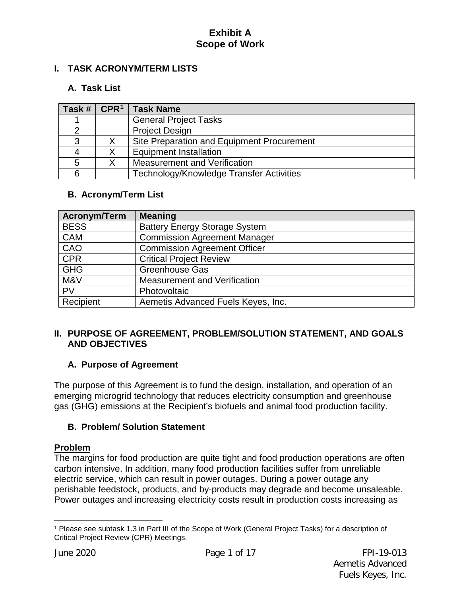# **I. TASK ACRONYM/TERM LISTS**

# **A. Task List**

| Task# | CPR <sup>1</sup> | <b>Task Name</b>                           |
|-------|------------------|--------------------------------------------|
|       |                  | <b>General Project Tasks</b>               |
|       |                  | <b>Project Design</b>                      |
| 3     |                  | Site Preparation and Equipment Procurement |
|       |                  | <b>Equipment Installation</b>              |
| 5     |                  | Measurement and Verification               |
|       |                  | Technology/Knowledge Transfer Activities   |

#### **B. Acronym/Term List**

| <b>Acronym/Term</b> | <b>Meaning</b>                       |
|---------------------|--------------------------------------|
| <b>BESS</b>         | <b>Battery Energy Storage System</b> |
| <b>CAM</b>          | Commission Agreement Manager         |
| CAO                 | <b>Commission Agreement Officer</b>  |
| <b>CPR</b>          | <b>Critical Project Review</b>       |
| <b>GHG</b>          | Greenhouse Gas                       |
| M&V                 | <b>Measurement and Verification</b>  |
| <b>PV</b>           | Photovoltaic                         |
| Recipient           | Aemetis Advanced Fuels Keyes, Inc.   |

### **II. PURPOSE OF AGREEMENT, PROBLEM/SOLUTION STATEMENT, AND GOALS AND OBJECTIVES**

#### **A. Purpose of Agreement**

The purpose of this Agreement is to fund the design, installation, and operation of an emerging microgrid technology that reduces electricity consumption and greenhouse gas (GHG) emissions at the Recipient's biofuels and animal food production facility.

### **B. Problem/ Solution Statement**

#### **Problem**

The margins for food production are quite tight and food production operations are often carbon intensive. In addition, many food production facilities suffer from unreliable electric service, which can result in power outages. During a power outage any perishable feedstock, products, and by-products may degrade and become unsaleable. Power outages and increasing electricity costs result in production costs increasing as

 $\overline{a}$ 

<span id="page-3-0"></span><sup>1</sup> Please see subtask 1.3 in Part III of the Scope of Work (General Project Tasks) for a description of Critical Project Review (CPR) Meetings.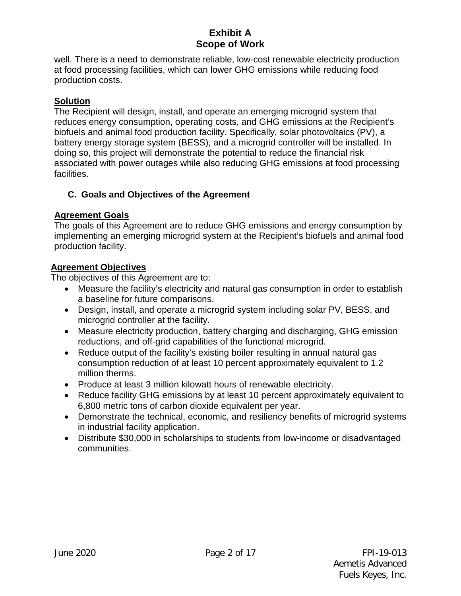well. There is a need to demonstrate reliable, low-cost renewable electricity production at food processing facilities, which can lower GHG emissions while reducing food production costs.

# **Solution**

The Recipient will design, install, and operate an emerging microgrid system that reduces energy consumption, operating costs, and GHG emissions at the Recipient's biofuels and animal food production facility. Specifically, solar photovoltaics (PV), a battery energy storage system (BESS), and a microgrid controller will be installed. In doing so, this project will demonstrate the potential to reduce the financial risk associated with power outages while also reducing GHG emissions at food processing facilities.

# **C. Goals and Objectives of the Agreement**

# **Agreement Goals**

The goals of this Agreement are to reduce GHG emissions and energy consumption by implementing an emerging microgrid system at the Recipient's biofuels and animal food production facility.

# **Agreement Objectives**

The objectives of this Agreement are to:

- Measure the facility's electricity and natural gas consumption in order to establish a baseline for future comparisons.
- Design, install, and operate a microgrid system including solar PV, BESS, and microgrid controller at the facility.
- Measure electricity production, battery charging and discharging, GHG emission reductions, and off-grid capabilities of the functional microgrid.
- Reduce output of the facility's existing boiler resulting in annual natural gas consumption reduction of at least 10 percent approximately equivalent to 1.2 million therms.
- Produce at least 3 million kilowatt hours of renewable electricity.
- Reduce facility GHG emissions by at least 10 percent approximately equivalent to 6,800 metric tons of carbon dioxide equivalent per year.
- Demonstrate the technical, economic, and resiliency benefits of microgrid systems in industrial facility application.
- Distribute \$30,000 in scholarships to students from low-income or disadvantaged communities.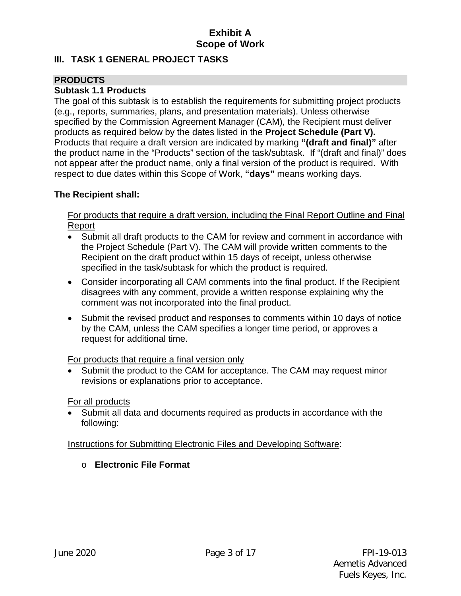# **III. TASK 1 GENERAL PROJECT TASKS**

# **PRODUCTS**

# **Subtask 1.1 Products**

The goal of this subtask is to establish the requirements for submitting project products (e.g., reports, summaries, plans, and presentation materials). Unless otherwise specified by the Commission Agreement Manager (CAM), the Recipient must deliver products as required below by the dates listed in the **Project Schedule (Part V).** Products that require a draft version are indicated by marking **"(draft and final)"** after the product name in the "Products" section of the task/subtask. If "(draft and final)" does not appear after the product name, only a final version of the product is required. With respect to due dates within this Scope of Work, **"days"** means working days.

# **The Recipient shall:**

For products that require a draft version, including the Final Report Outline and Final Report

- Submit all draft products to the CAM for review and comment in accordance with the Project Schedule (Part V). The CAM will provide written comments to the Recipient on the draft product within 15 days of receipt, unless otherwise specified in the task/subtask for which the product is required.
- Consider incorporating all CAM comments into the final product. If the Recipient disagrees with any comment, provide a written response explaining why the comment was not incorporated into the final product.
- Submit the revised product and responses to comments within 10 days of notice by the CAM, unless the CAM specifies a longer time period, or approves a request for additional time.

# For products that require a final version only

Submit the product to the CAM for acceptance. The CAM may request minor revisions or explanations prior to acceptance.

# For all products

• Submit all data and documents required as products in accordance with the following:

# Instructions for Submitting Electronic Files and Developing Software:

# o **Electronic File Format**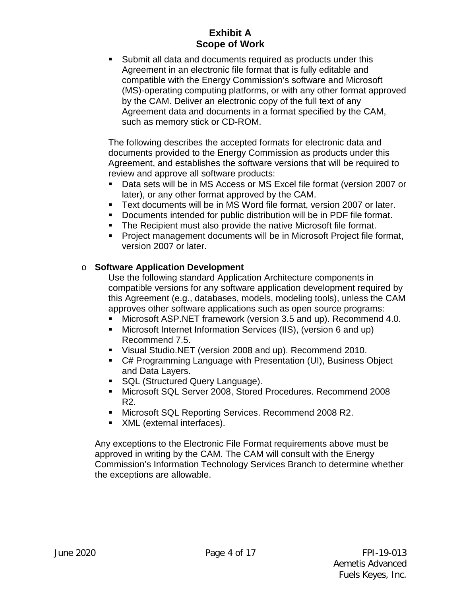Submit all data and documents required as products under this Agreement in an electronic file format that is fully editable and compatible with the Energy Commission's software and Microsoft (MS)-operating computing platforms, or with any other format approved by the CAM. Deliver an electronic copy of the full text of any Agreement data and documents in a format specified by the CAM, such as memory stick or CD-ROM.

The following describes the accepted formats for electronic data and documents provided to the Energy Commission as products under this Agreement, and establishes the software versions that will be required to review and approve all software products:

- Data sets will be in MS Access or MS Excel file format (version 2007 or later), or any other format approved by the CAM.
- Text documents will be in MS Word file format, version 2007 or later.
- Documents intended for public distribution will be in PDF file format.
- **The Recipient must also provide the native Microsoft file format.**
- **Project management documents will be in Microsoft Project file format,** version 2007 or later.

# o **Software Application Development**

Use the following standard Application Architecture components in compatible versions for any software application development required by this Agreement (e.g., databases, models, modeling tools), unless the CAM approves other software applications such as open source programs:

- Microsoft ASP.NET framework (version 3.5 and up). Recommend 4.0.
- Microsoft Internet Information Services (IIS), (version 6 and up) Recommend 7.5.
- Visual Studio.NET (version 2008 and up). Recommend 2010.
- C# Programming Language with Presentation (UI), Business Object and Data Layers.
- SQL (Structured Query Language).
- Microsoft SQL Server 2008, Stored Procedures. Recommend 2008 R2.
- Microsoft SQL Reporting Services. Recommend 2008 R2.
- **XML** (external interfaces).

Any exceptions to the Electronic File Format requirements above must be approved in writing by the CAM. The CAM will consult with the Energy Commission's Information Technology Services Branch to determine whether the exceptions are allowable.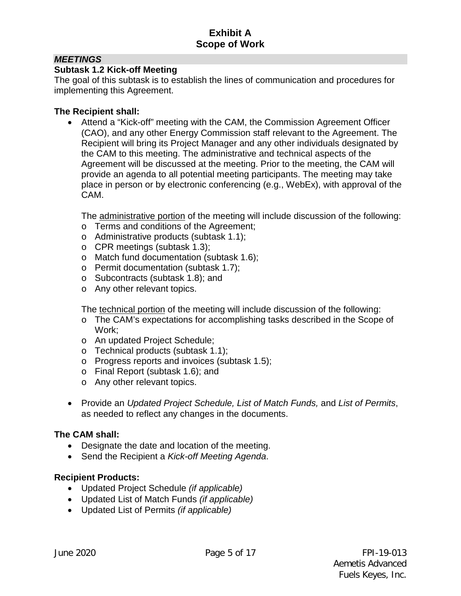# *MEETINGS*

### **Subtask 1.2 Kick-off Meeting**

The goal of this subtask is to establish the lines of communication and procedures for implementing this Agreement.

### **The Recipient shall:**

• Attend a "Kick-off" meeting with the CAM, the Commission Agreement Officer (CAO), and any other Energy Commission staff relevant to the Agreement. The Recipient will bring its Project Manager and any other individuals designated by the CAM to this meeting. The administrative and technical aspects of the Agreement will be discussed at the meeting. Prior to the meeting, the CAM will provide an agenda to all potential meeting participants. The meeting may take place in person or by electronic conferencing (e.g., WebEx), with approval of the CAM.

The administrative portion of the meeting will include discussion of the following:

- o Terms and conditions of the Agreement;
- o Administrative products (subtask 1.1);
- o CPR meetings (subtask 1.3);
- o Match fund documentation (subtask 1.6);
- o Permit documentation (subtask 1.7);
- o Subcontracts (subtask 1.8); and
- o Any other relevant topics.

The technical portion of the meeting will include discussion of the following:

- o The CAM's expectations for accomplishing tasks described in the Scope of Work;
- o An updated Project Schedule;
- o Technical products (subtask 1.1);
- o Progress reports and invoices (subtask 1.5);
- o Final Report (subtask 1.6); and
- o Any other relevant topics.
- Provide an *Updated Project Schedule, List of Match Funds,* and *List of Permits*, as needed to reflect any changes in the documents.

# **The CAM shall:**

- Designate the date and location of the meeting.
- Send the Recipient a *Kick-off Meeting Agenda*.

# **Recipient Products:**

- Updated Project Schedule *(if applicable)*
- Updated List of Match Funds *(if applicable)*
- Updated List of Permits *(if applicable)*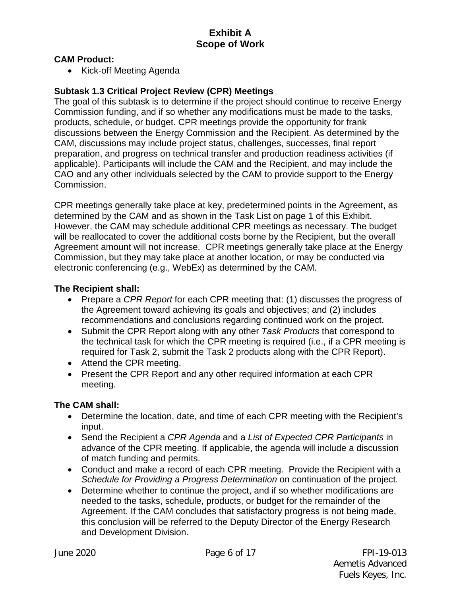#### **CAM Product:**

• Kick-off Meeting Agenda

### **Subtask 1.3 Critical Project Review (CPR) Meetings**

The goal of this subtask is to determine if the project should continue to receive Energy Commission funding, and if so whether any modifications must be made to the tasks, products, schedule, or budget. CPR meetings provide the opportunity for frank discussions between the Energy Commission and the Recipient. As determined by the CAM, discussions may include project status, challenges, successes, final report preparation, and progress on technical transfer and production readiness activities (if applicable). Participants will include the CAM and the Recipient, and may include the CAO and any other individuals selected by the CAM to provide support to the Energy Commission.

CPR meetings generally take place at key, predetermined points in the Agreement, as determined by the CAM and as shown in the Task List on page 1 of this Exhibit. However, the CAM may schedule additional CPR meetings as necessary. The budget will be reallocated to cover the additional costs borne by the Recipient, but the overall Agreement amount will not increase. CPR meetings generally take place at the Energy Commission, but they may take place at another location, or may be conducted via electronic conferencing (e.g., WebEx) as determined by the CAM.

#### **The Recipient shall:**

- Prepare a *CPR Report* for each CPR meeting that: (1) discusses the progress of the Agreement toward achieving its goals and objectives; and (2) includes recommendations and conclusions regarding continued work on the project.
- Submit the CPR Report along with any other *Task Products* that correspond to the technical task for which the CPR meeting is required (i.e., if a CPR meeting is required for Task 2, submit the Task 2 products along with the CPR Report).
- Attend the CPR meeting.
- Present the CPR Report and any other required information at each CPR meeting.

#### **The CAM shall:**

- Determine the location, date, and time of each CPR meeting with the Recipient's input.
- Send the Recipient a *CPR Agenda* and a *List of Expected CPR Participants* in advance of the CPR meeting. If applicable, the agenda will include a discussion of match funding and permits.
- Conduct and make a record of each CPR meeting. Provide the Recipient with a *Schedule for Providing a Progress Determination* on continuation of the project.
- Determine whether to continue the project, and if so whether modifications are needed to the tasks, schedule, products, or budget for the remainder of the Agreement. If the CAM concludes that satisfactory progress is not being made, this conclusion will be referred to the Deputy Director of the Energy Research and Development Division.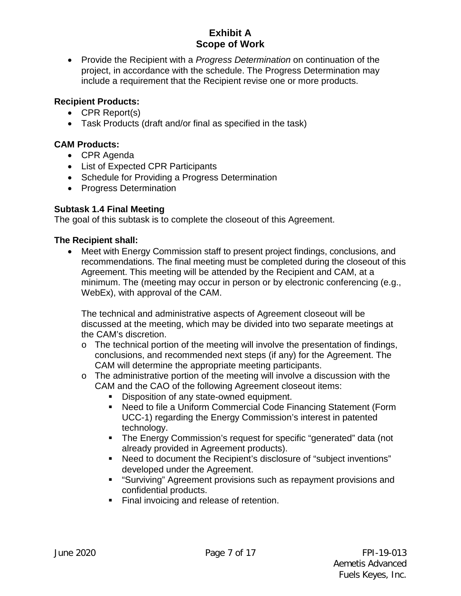• Provide the Recipient with a *Progress Determination* on continuation of the project, in accordance with the schedule. The Progress Determination may include a requirement that the Recipient revise one or more products.

# **Recipient Products:**

- CPR Report(s)
- Task Products (draft and/or final as specified in the task)

# **CAM Products:**

- CPR Agenda
- List of Expected CPR Participants
- Schedule for Providing a Progress Determination
- Progress Determination

# **Subtask 1.4 Final Meeting**

The goal of this subtask is to complete the closeout of this Agreement.

# **The Recipient shall:**

• Meet with Energy Commission staff to present project findings, conclusions, and recommendations. The final meeting must be completed during the closeout of this Agreement. This meeting will be attended by the Recipient and CAM, at a minimum. The (meeting may occur in person or by electronic conferencing (e.g., WebEx), with approval of the CAM.

The technical and administrative aspects of Agreement closeout will be discussed at the meeting, which may be divided into two separate meetings at the CAM's discretion.

- $\circ$  The technical portion of the meeting will involve the presentation of findings, conclusions, and recommended next steps (if any) for the Agreement. The CAM will determine the appropriate meeting participants.
- o The administrative portion of the meeting will involve a discussion with the CAM and the CAO of the following Agreement closeout items:
	- Disposition of any state-owned equipment.
	- Need to file a Uniform Commercial Code Financing Statement (Form UCC-1) regarding the Energy Commission's interest in patented technology.
	- The Energy Commission's request for specific "generated" data (not already provided in Agreement products).
	- Need to document the Recipient's disclosure of "subject inventions" developed under the Agreement.
	- "Surviving" Agreement provisions such as repayment provisions and confidential products.
	- Final invoicing and release of retention.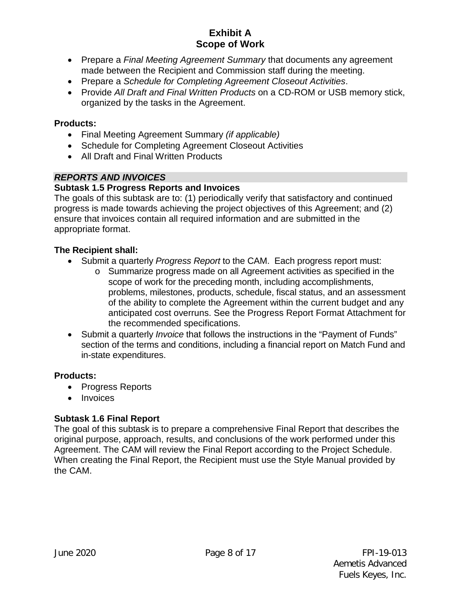- Prepare a *Final Meeting Agreement Summary* that documents any agreement made between the Recipient and Commission staff during the meeting.
- Prepare a *Schedule for Completing Agreement Closeout Activities*.
- Provide *All Draft and Final Written Products* on a CD-ROM or USB memory stick, organized by the tasks in the Agreement.

### **Products:**

- Final Meeting Agreement Summary *(if applicable)*
- Schedule for Completing Agreement Closeout Activities
- All Draft and Final Written Products

### *REPORTS AND INVOICES*

### **Subtask 1.5 Progress Reports and Invoices**

The goals of this subtask are to: (1) periodically verify that satisfactory and continued progress is made towards achieving the project objectives of this Agreement; and (2) ensure that invoices contain all required information and are submitted in the appropriate format.

### **The Recipient shall:**

- Submit a quarterly *Progress Report* to the CAM. Each progress report must:
	- o Summarize progress made on all Agreement activities as specified in the scope of work for the preceding month, including accomplishments, problems, milestones, products, schedule, fiscal status, and an assessment of the ability to complete the Agreement within the current budget and any anticipated cost overruns. See the Progress Report Format Attachment for the recommended specifications.
- Submit a quarterly *Invoice* that follows the instructions in the "Payment of Funds" section of the terms and conditions, including a financial report on Match Fund and in-state expenditures.

#### **Products:**

- Progress Reports
- Invoices

# **Subtask 1.6 Final Report**

The goal of this subtask is to prepare a comprehensive Final Report that describes the original purpose, approach, results, and conclusions of the work performed under this Agreement. The CAM will review the Final Report according to the Project Schedule. When creating the Final Report, the Recipient must use the Style Manual provided by the CAM.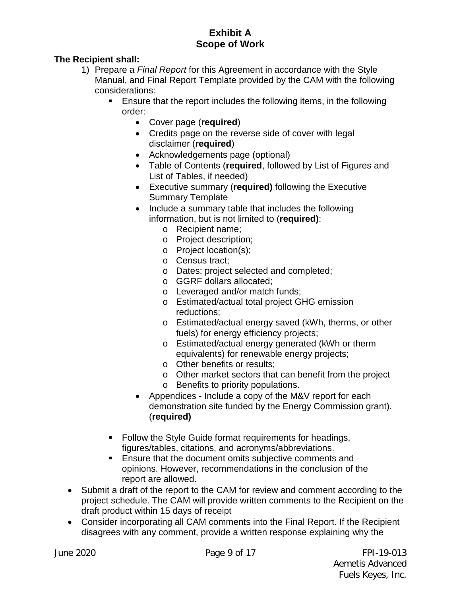# **The Recipient shall:**

- 1) Prepare a *Final Report* for this Agreement in accordance with the Style Manual, and Final Report Template provided by the CAM with the following considerations:
	- Ensure that the report includes the following items, in the following order:
		- Cover page (**required**)
		- Credits page on the reverse side of cover with legal disclaimer (**required**)
		- Acknowledgements page (optional)
		- Table of Contents (**required**, followed by List of Figures and List of Tables, if needed)
		- Executive summary (**required)** following the Executive Summary Template
		- Include a summary table that includes the following information, but is not limited to (**required)**:
			- o Recipient name;
			- o Project description;
			- o Project location(s);
			- o Census tract;
			- o Dates: project selected and completed;
			- o GGRF dollars allocated;
			- o Leveraged and/or match funds;
			- o Estimated/actual total project GHG emission reductions;
			- o Estimated/actual energy saved (kWh, therms, or other fuels) for energy efficiency projects;
			- o Estimated/actual energy generated (kWh or therm equivalents) for renewable energy projects;
			- o Other benefits or results;
			- o Other market sectors that can benefit from the project
			- o Benefits to priority populations.
		- Appendices Include a copy of the M&V report for each demonstration site funded by the Energy Commission grant). (**required)**
	- Follow the Style Guide format requirements for headings, figures/tables, citations, and acronyms/abbreviations.
	- **Ensure that the document omits subjective comments and** opinions. However, recommendations in the conclusion of the report are allowed.
- Submit a draft of the report to the CAM for review and comment according to the project schedule. The CAM will provide written comments to the Recipient on the draft product within 15 days of receipt
- Consider incorporating all CAM comments into the Final Report. If the Recipient disagrees with any comment, provide a written response explaining why the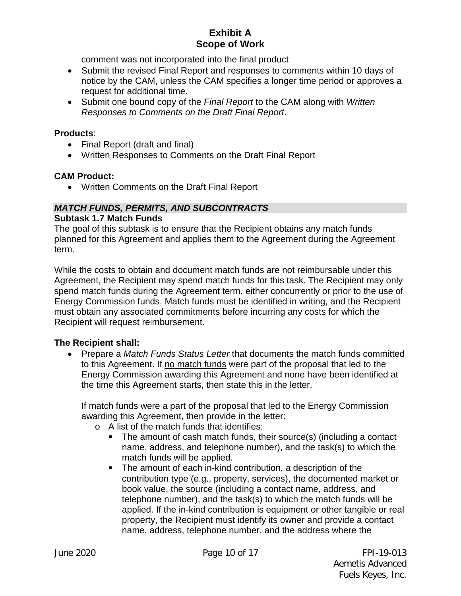comment was not incorporated into the final product

- Submit the revised Final Report and responses to comments within 10 days of notice by the CAM, unless the CAM specifies a longer time period or approves a request for additional time.
- Submit one bound copy of the *Final Report* to the CAM along with *Written Responses to Comments on the Draft Final Report*.

#### **Products**:

- Final Report (draft and final)
- Written Responses to Comments on the Draft Final Report

#### **CAM Product:**

• Written Comments on the Draft Final Report

### *MATCH FUNDS, PERMITS, AND SUBCONTRACTS*

#### **Subtask 1.7 Match Funds**

The goal of this subtask is to ensure that the Recipient obtains any match funds planned for this Agreement and applies them to the Agreement during the Agreement term.

While the costs to obtain and document match funds are not reimbursable under this Agreement, the Recipient may spend match funds for this task. The Recipient may only spend match funds during the Agreement term, either concurrently or prior to the use of Energy Commission funds. Match funds must be identified in writing, and the Recipient must obtain any associated commitments before incurring any costs for which the Recipient will request reimbursement.

#### **The Recipient shall:**

• Prepare a *Match Funds Status Letter* that documents the match funds committed to this Agreement. If no match funds were part of the proposal that led to the Energy Commission awarding this Agreement and none have been identified at the time this Agreement starts, then state this in the letter.

If match funds were a part of the proposal that led to the Energy Commission awarding this Agreement, then provide in the letter:

- o A list of the match funds that identifies:
	- The amount of cash match funds, their source(s) (including a contact name, address, and telephone number), and the task(s) to which the match funds will be applied.
	- The amount of each in-kind contribution, a description of the contribution type (e.g., property, services), the documented market or book value, the source (including a contact name, address, and telephone number), and the task(s) to which the match funds will be applied. If the in-kind contribution is equipment or other tangible or real property, the Recipient must identify its owner and provide a contact name, address, telephone number, and the address where the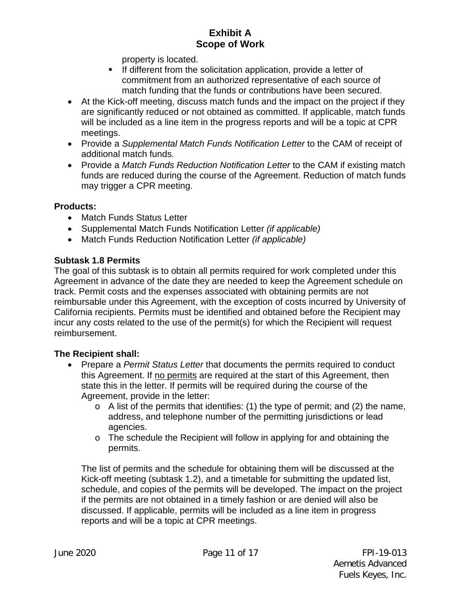property is located.

- $\blacksquare$  If different from the solicitation application, provide a letter of commitment from an authorized representative of each source of match funding that the funds or contributions have been secured.
- At the Kick-off meeting, discuss match funds and the impact on the project if they are significantly reduced or not obtained as committed. If applicable, match funds will be included as a line item in the progress reports and will be a topic at CPR meetings.
- Provide a *Supplemental Match Funds Notification Letter* to the CAM of receipt of additional match funds.
- Provide a *Match Funds Reduction Notification Letter* to the CAM if existing match funds are reduced during the course of the Agreement. Reduction of match funds may trigger a CPR meeting.

# **Products:**

- Match Funds Status Letter
- Supplemental Match Funds Notification Letter *(if applicable)*
- Match Funds Reduction Notification Letter *(if applicable)*

# **Subtask 1.8 Permits**

The goal of this subtask is to obtain all permits required for work completed under this Agreement in advance of the date they are needed to keep the Agreement schedule on track. Permit costs and the expenses associated with obtaining permits are not reimbursable under this Agreement, with the exception of costs incurred by University of California recipients. Permits must be identified and obtained before the Recipient may incur any costs related to the use of the permit(s) for which the Recipient will request reimbursement.

# **The Recipient shall:**

- Prepare a *Permit Status Letter* that documents the permits required to conduct this Agreement. If no permits are required at the start of this Agreement, then state this in the letter. If permits will be required during the course of the Agreement, provide in the letter:
	- $\circ$  A list of the permits that identifies: (1) the type of permit; and (2) the name, address, and telephone number of the permitting jurisdictions or lead agencies.
	- o The schedule the Recipient will follow in applying for and obtaining the permits.

The list of permits and the schedule for obtaining them will be discussed at the Kick-off meeting (subtask 1.2), and a timetable for submitting the updated list, schedule, and copies of the permits will be developed. The impact on the project if the permits are not obtained in a timely fashion or are denied will also be discussed. If applicable, permits will be included as a line item in progress reports and will be a topic at CPR meetings.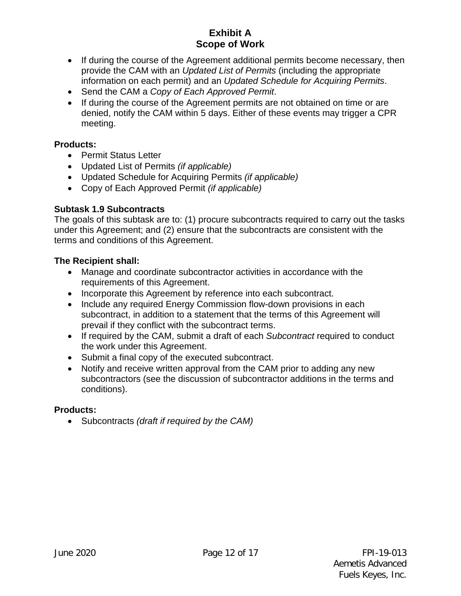- If during the course of the Agreement additional permits become necessary, then provide the CAM with an *Updated List of Permits* (including the appropriate information on each permit) and an *Updated Schedule for Acquiring Permits*.
- Send the CAM a *Copy of Each Approved Permit*.
- If during the course of the Agreement permits are not obtained on time or are denied, notify the CAM within 5 days. Either of these events may trigger a CPR meeting.

### **Products:**

- Permit Status Letter
- Updated List of Permits *(if applicable)*
- Updated Schedule for Acquiring Permits *(if applicable)*
- Copy of Each Approved Permit *(if applicable)*

### **Subtask 1.9 Subcontracts**

The goals of this subtask are to: (1) procure subcontracts required to carry out the tasks under this Agreement; and (2) ensure that the subcontracts are consistent with the terms and conditions of this Agreement.

### **The Recipient shall:**

- Manage and coordinate subcontractor activities in accordance with the requirements of this Agreement.
- Incorporate this Agreement by reference into each subcontract.
- Include any required Energy Commission flow-down provisions in each subcontract, in addition to a statement that the terms of this Agreement will prevail if they conflict with the subcontract terms.
- If required by the CAM, submit a draft of each *Subcontract* required to conduct the work under this Agreement.
- Submit a final copy of the executed subcontract.
- Notify and receive written approval from the CAM prior to adding any new subcontractors (see the discussion of subcontractor additions in the terms and conditions).

#### **Products:**

• Subcontracts *(draft if required by the CAM)*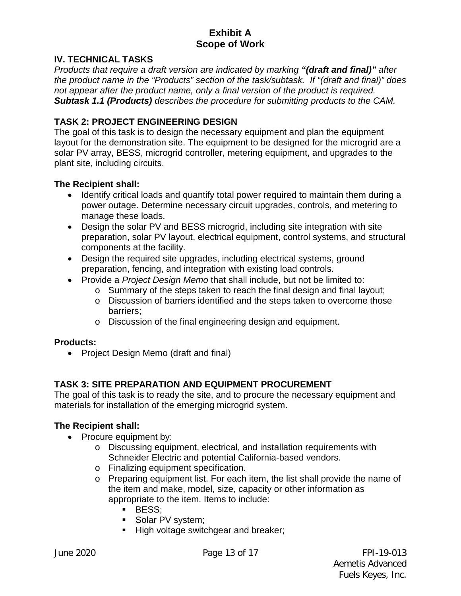### **IV. TECHNICAL TASKS**

*Products that require a draft version are indicated by marking "(draft and final)" after the product name in the "Products" section of the task/subtask. If "(draft and final)" does not appear after the product name, only a final version of the product is required. Subtask 1.1 (Products) describes the procedure for submitting products to the CAM.* 

### **TASK 2: PROJECT ENGINEERING DESIGN**

The goal of this task is to design the necessary equipment and plan the equipment layout for the demonstration site. The equipment to be designed for the microgrid are a solar PV array, BESS, microgrid controller, metering equipment, and upgrades to the plant site, including circuits.

#### **The Recipient shall:**

- Identify critical loads and quantify total power required to maintain them during a power outage. Determine necessary circuit upgrades, controls, and metering to manage these loads.
- Design the solar PV and BESS microgrid, including site integration with site preparation, solar PV layout, electrical equipment, control systems, and structural components at the facility.
- Design the required site upgrades, including electrical systems, ground preparation, fencing, and integration with existing load controls.
- Provide a *Project Design Memo* that shall include, but not be limited to:
	- o Summary of the steps taken to reach the final design and final layout;
	- o Discussion of barriers identified and the steps taken to overcome those barriers;
	- o Discussion of the final engineering design and equipment.

#### **Products:**

• Project Design Memo (draft and final)

# **TASK 3: SITE PREPARATION AND EQUIPMENT PROCUREMENT**

The goal of this task is to ready the site, and to procure the necessary equipment and materials for installation of the emerging microgrid system.

#### **The Recipient shall:**

- Procure equipment by:
	- o Discussing equipment, electrical, and installation requirements with Schneider Electric and potential California-based vendors.
	- o Finalizing equipment specification.
	- o Preparing equipment list. For each item, the list shall provide the name of the item and make, model, size, capacity or other information as appropriate to the item. Items to include:
		- **BESS**;
		- Solar PV system;
		- High voltage switchgear and breaker;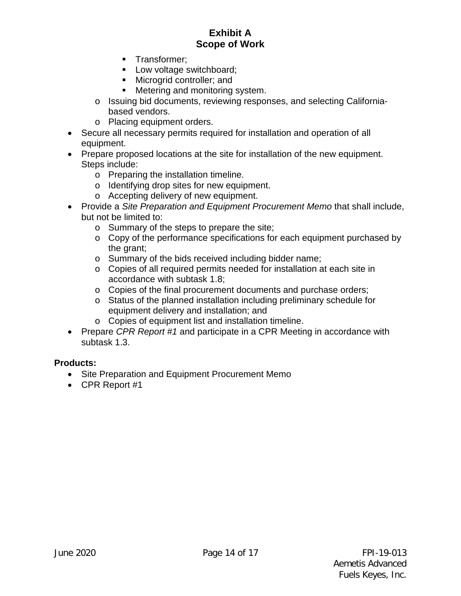- **Transformer:**
- Low voltage switchboard;
- **Microgrid controller; and**
- **Metering and monitoring system.**
- o Issuing bid documents, reviewing responses, and selecting Californiabased vendors.
- o Placing equipment orders.
- Secure all necessary permits required for installation and operation of all equipment.
- Prepare proposed locations at the site for installation of the new equipment. Steps include:
	- o Preparing the installation timeline.
	- o Identifying drop sites for new equipment.
	- o Accepting delivery of new equipment.
- Provide a *Site Preparation and Equipment Procurement Memo* that shall include, but not be limited to:
	- o Summary of the steps to prepare the site;
	- o Copy of the performance specifications for each equipment purchased by the grant;
	- o Summary of the bids received including bidder name;
	- o Copies of all required permits needed for installation at each site in accordance with subtask 1.8;
	- o Copies of the final procurement documents and purchase orders;
	- o Status of the planned installation including preliminary schedule for equipment delivery and installation; and
	- o Copies of equipment list and installation timeline.
- Prepare *CPR Report #1* and participate in a CPR Meeting in accordance with subtask 1.3.

#### **Products:**

- Site Preparation and Equipment Procurement Memo
- CPR Report #1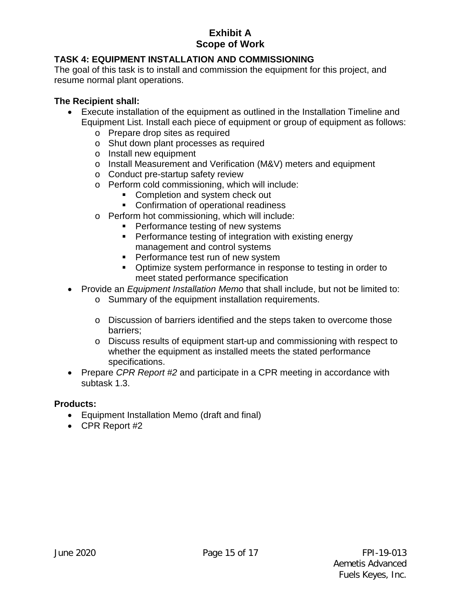# **TASK 4: EQUIPMENT INSTALLATION AND COMMISSIONING**

The goal of this task is to install and commission the equipment for this project, and resume normal plant operations.

### **The Recipient shall:**

- Execute installation of the equipment as outlined in the Installation Timeline and Equipment List. Install each piece of equipment or group of equipment as follows:
	- o Prepare drop sites as required
	- o Shut down plant processes as required
	- o Install new equipment
	- o Install Measurement and Verification (M&V) meters and equipment
	- o Conduct pre-startup safety review
	- o Perform cold commissioning, which will include:
		- **Completion and system check out**
		- **Confirmation of operational readiness**
	- o Perform hot commissioning, which will include:
		- **Performance testing of new systems**
		- **Performance testing of integration with existing energy** management and control systems
		- **Performance test run of new system**
		- Optimize system performance in response to testing in order to meet stated performance specification
- Provide an *Equipment Installation Memo* that shall include, but not be limited to:
	- o Summary of the equipment installation requirements.
	- o Discussion of barriers identified and the steps taken to overcome those barriers;
	- o Discuss results of equipment start-up and commissioning with respect to whether the equipment as installed meets the stated performance specifications.
- Prepare *CPR Report #2* and participate in a CPR meeting in accordance with subtask 1.3.

# **Products:**

- Equipment Installation Memo (draft and final)
- CPR Report #2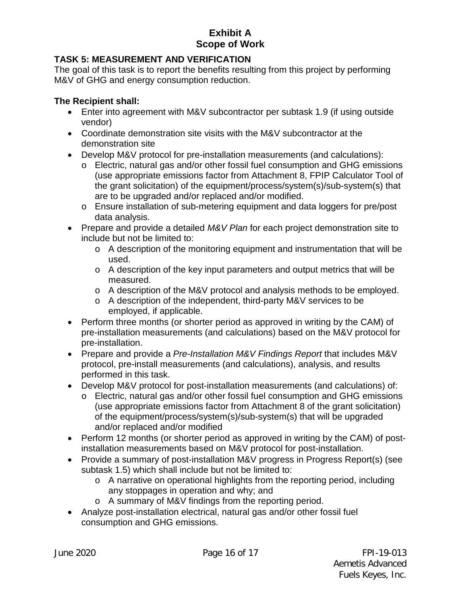# **TASK 5: MEASUREMENT AND VERIFICATION**

The goal of this task is to report the benefits resulting from this project by performing M&V of GHG and energy consumption reduction.

### **The Recipient shall:**

- Enter into agreement with M&V subcontractor per subtask 1.9 (if using outside vendor)
- Coordinate demonstration site visits with the M&V subcontractor at the demonstration site
- Develop M&V protocol for pre-installation measurements (and calculations):
	- o Electric, natural gas and/or other fossil fuel consumption and GHG emissions (use appropriate emissions factor from Attachment 8, FPIP Calculator Tool of the grant solicitation) of the equipment/process/system(s)/sub-system(s) that are to be upgraded and/or replaced and/or modified.
	- o Ensure installation of sub-metering equipment and data loggers for pre/post data analysis.
- Prepare and provide a detailed *M&V Plan* for each project demonstration site to include but not be limited to:
	- o A description of the monitoring equipment and instrumentation that will be used.
	- o A description of the key input parameters and output metrics that will be measured.
	- o A description of the M&V protocol and analysis methods to be employed.
	- o A description of the independent, third-party M&V services to be employed, if applicable.
- Perform three months (or shorter period as approved in writing by the CAM) of pre-installation measurements (and calculations) based on the M&V protocol for pre-installation.
- Prepare and provide a *Pre-Installation M&V Findings Report* that includes M&V protocol, pre-install measurements (and calculations), analysis, and results performed in this task.
- Develop M&V protocol for post-installation measurements (and calculations) of:
	- o Electric, natural gas and/or other fossil fuel consumption and GHG emissions (use appropriate emissions factor from Attachment 8 of the grant solicitation) of the equipment/process/system(s)/sub-system(s) that will be upgraded and/or replaced and/or modified
- Perform 12 months (or shorter period as approved in writing by the CAM) of postinstallation measurements based on M&V protocol for post-installation.
- Provide a summary of post-installation M&V progress in Progress Report(s) (see subtask 1.5) which shall include but not be limited to:
	- o A narrative on operational highlights from the reporting period, including any stoppages in operation and why; and
	- o A summary of M&V findings from the reporting period.
- Analyze post-installation electrical, natural gas and/or other fossil fuel consumption and GHG emissions.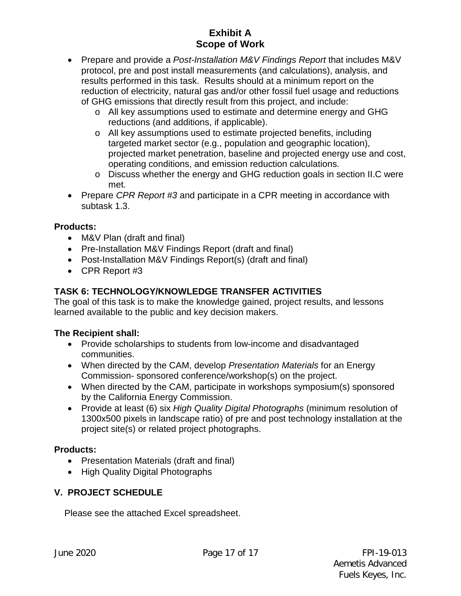- Prepare and provide a *Post-Installation M&V Findings Report* that includes M&V protocol, pre and post install measurements (and calculations), analysis, and results performed in this task. Results should at a minimum report on the reduction of electricity, natural gas and/or other fossil fuel usage and reductions of GHG emissions that directly result from this project, and include:
	- o All key assumptions used to estimate and determine energy and GHG reductions (and additions, if applicable).
	- o All key assumptions used to estimate projected benefits, including targeted market sector (e.g., population and geographic location), projected market penetration, baseline and projected energy use and cost, operating conditions, and emission reduction calculations.
	- o Discuss whether the energy and GHG reduction goals in section II.C were met.
- Prepare *CPR Report #3* and participate in a CPR meeting in accordance with subtask 1.3.

# **Products:**

- M&V Plan (draft and final)
- Pre-Installation M&V Findings Report (draft and final)
- Post-Installation M&V Findings Report(s) (draft and final)
- CPR Report #3

# **TASK 6: TECHNOLOGY/KNOWLEDGE TRANSFER ACTIVITIES**

The goal of this task is to make the knowledge gained, project results, and lessons learned available to the public and key decision makers.

# **The Recipient shall:**

- Provide scholarships to students from low-income and disadvantaged communities.
- When directed by the CAM, develop *Presentation Materials* for an Energy Commission- sponsored conference/workshop(s) on the project.
- When directed by the CAM, participate in workshops symposium(s) sponsored by the California Energy Commission.
- Provide at least (6) six *High Quality Digital Photographs* (minimum resolution of 1300x500 pixels in landscape ratio) of pre and post technology installation at the project site(s) or related project photographs.

# **Products:**

- Presentation Materials (draft and final)
- High Quality Digital Photographs

# **V. PROJECT SCHEDULE**

Please see the attached Excel spreadsheet.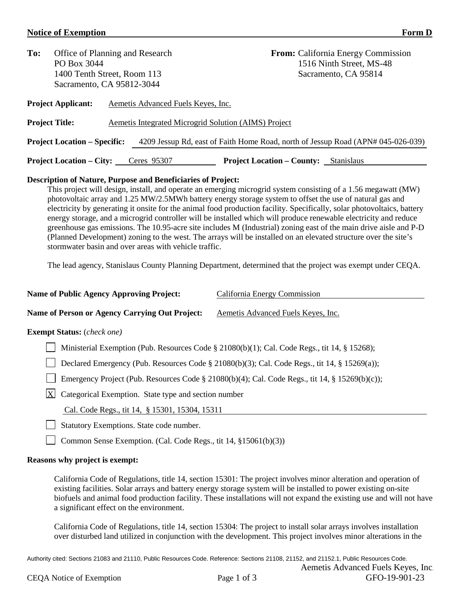#### **Notice of Exemption Form D**

| To:                   | Office of Planning and Research<br>PO Box 3044<br>1400 Tenth Street, Room 113<br>Sacramento, CA 95812-3044 |                                                      |                                   | <b>From:</b> California Energy Commission<br>1516 Ninth Street, MS-48<br>Sacramento, CA 95814 |
|-----------------------|------------------------------------------------------------------------------------------------------------|------------------------------------------------------|-----------------------------------|-----------------------------------------------------------------------------------------------|
|                       | <b>Project Applicant:</b>                                                                                  | Aemetis Advanced Fuels Keyes, Inc.                   |                                   |                                                                                               |
| <b>Project Title:</b> |                                                                                                            | Aemetis Integrated Microgrid Solution (AIMS) Project |                                   |                                                                                               |
|                       | <b>Project Location – Specific:</b>                                                                        |                                                      |                                   | 4209 Jessup Rd, east of Faith Home Road, north of Jessup Road (APN# 045-026-039)              |
|                       | <b>Project Location – City:</b>                                                                            | Ceres 95307                                          | <b>Project Location – County:</b> | <b>Stanislaus</b>                                                                             |

#### **Description of Nature, Purpose and Beneficiaries of Project:**

This project will design, install, and operate an emerging microgrid system consisting of a 1.56 megawatt (MW) photovoltaic array and 1.25 MW/2.5MWh battery energy storage system to offset the use of natural gas and electricity by generating it onsite for the animal food production facility. Specifically, solar photovoltaics, battery energy storage, and a microgrid controller will be installed which will produce renewable electricity and reduce greenhouse gas emissions. The 10.95-acre site includes M (Industrial) zoning east of the main drive aisle and P-D (Planned Development) zoning to the west. The arrays will be installed on an elevated structure over the site's stormwater basin and over areas with vehicle traffic.

The lead agency, Stanislaus County Planning Department, determined that the project was exempt under CEQA.

| <b>Name of Public Agency Approving Project:</b>                      | California Energy Commission                                                                   |
|----------------------------------------------------------------------|------------------------------------------------------------------------------------------------|
| <b>Name of Person or Agency Carrying Out Project:</b>                | Aemetis Advanced Fuels Keyes, Inc.                                                             |
| <b>Exempt Status:</b> ( <i>check one</i> )                           |                                                                                                |
|                                                                      | Ministerial Exemption (Pub. Resources Code § 21080(b)(1); Cal. Code Regs., tit 14, § 15268);   |
|                                                                      | Declared Emergency (Pub. Resources Code § 21080(b)(3); Cal. Code Regs., tit 14, § 15269(a));   |
|                                                                      | Emergency Project (Pub. Resources Code § 21080(b)(4); Cal. Code Regs., tit 14, § 15269(b)(c)); |
| $\mathbf{X}$<br>Categorical Exemption. State type and section number |                                                                                                |
| Cal. Code Regs., tit 14, § 15301, 15304, 15311                       |                                                                                                |
| Statutory Exemptions. State code number.                             |                                                                                                |
| Common Sense Exemption. (Cal. Code Regs., tit 14, §15061(b)(3))      |                                                                                                |

#### **Reasons why project is exempt:**

California Code of Regulations, title 14, section 15301: The project involves minor alteration and operation of existing facilities. Solar arrays and battery energy storage system will be installed to power existing on-site biofuels and animal food production facility. These installations will not expand the existing use and will not have a significant effect on the environment.

California Code of Regulations, title 14, section 15304: The project to install solar arrays involves installation over disturbed land utilized in conjunction with the development. This project involves minor alterations in the

Authority cited: Sections 21083 and 21110, Public Resources Code. Reference: Sections 21108, 21152, and 21152.1, Public Resources Code. Aemetis Advanced Fuels Keyes, Inc.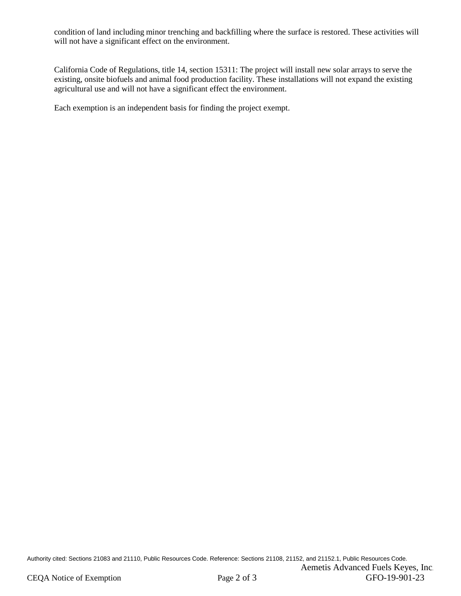condition of land including minor trenching and backfilling where the surface is restored. These activities will will not have a significant effect on the environment.

California Code of Regulations, title 14, section 15311: The project will install new solar arrays to serve the existing, onsite biofuels and animal food production facility. These installations will not expand the existing agricultural use and will not have a significant effect the environment.

Each exemption is an independent basis for finding the project exempt.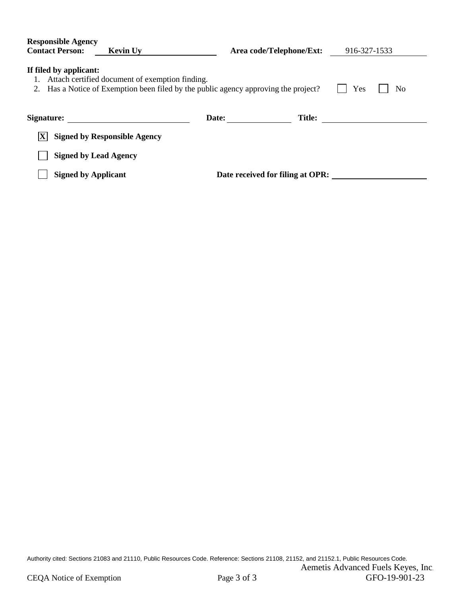| <b>Responsible Agency</b>                                                                                                                                                        |                                     |                                  |               |              |  |  |  |
|----------------------------------------------------------------------------------------------------------------------------------------------------------------------------------|-------------------------------------|----------------------------------|---------------|--------------|--|--|--|
| <b>Contact Person:</b>                                                                                                                                                           | <b>Kevin Uy</b>                     | Area code/Telephone/Ext:         |               | 916-327-1533 |  |  |  |
| If filed by applicant:<br>1. Attach certified document of exemption finding.<br>2. Has a Notice of Exemption been filed by the public agency approving the project?<br>Yes<br>No |                                     |                                  |               |              |  |  |  |
| Signature:                                                                                                                                                                       |                                     | Date:                            | <b>Title:</b> |              |  |  |  |
| ΙXΙ                                                                                                                                                                              | <b>Signed by Responsible Agency</b> |                                  |               |              |  |  |  |
| <b>Signed by Lead Agency</b>                                                                                                                                                     |                                     |                                  |               |              |  |  |  |
| <b>Signed by Applicant</b>                                                                                                                                                       |                                     | Date received for filing at OPR: |               |              |  |  |  |